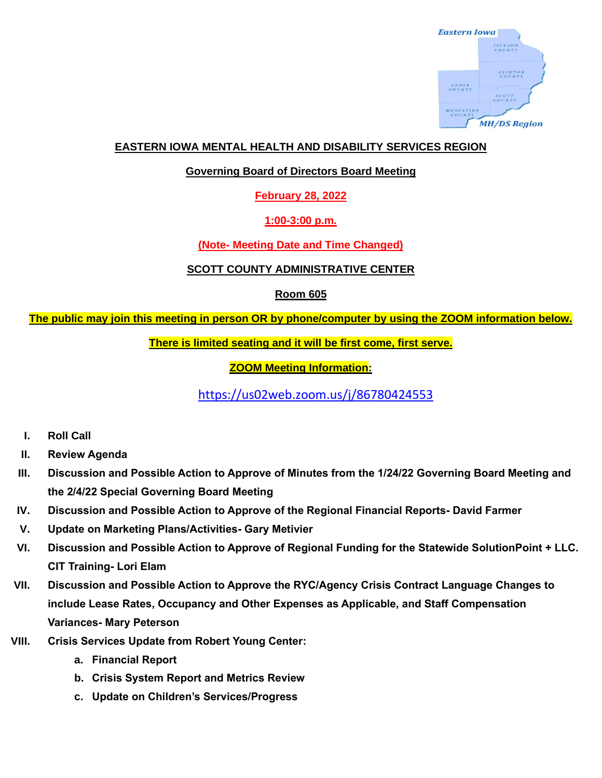

### **EASTERN IOWA MENTAL HEALTH AND DISABILITY SERVICES REGION**

#### **Governing Board of Directors Board Meeting**

**February 28, 2022**

#### **1:00-3:00 p.m.**

## **(Note- Meeting Date and Time Changed)**

#### **SCOTT COUNTY ADMINISTRATIVE CENTER**

## **Room 605**

## **The public may join this meeting in person OR by phone/computer by using the ZOOM information below.**

#### **There is limited seating and it will be first come, first serve.**

# **ZOOM Meeting Information:**

<https://us02web.zoom.us/j/86780424553>

- **I. Roll Call**
- **II. Review Agenda**
- **III. Discussion and Possible Action to Approve of Minutes from the 1/24/22 Governing Board Meeting and the 2/4/22 Special Governing Board Meeting**
- **IV. Discussion and Possible Action to Approve of the Regional Financial Reports- David Farmer**
- **V. Update on Marketing Plans/Activities- Gary Metivier**
- **VI. Discussion and Possible Action to Approve of Regional Funding for the Statewide SolutionPoint + LLC. CIT Training- Lori Elam**
- **VII. Discussion and Possible Action to Approve the RYC/Agency Crisis Contract Language Changes to include Lease Rates, Occupancy and Other Expenses as Applicable, and Staff Compensation Variances- Mary Peterson**
- **VIII. Crisis Services Update from Robert Young Center:**
	- **a. Financial Report**
	- **b. Crisis System Report and Metrics Review**
	- **c. Update on Children's Services/Progress**